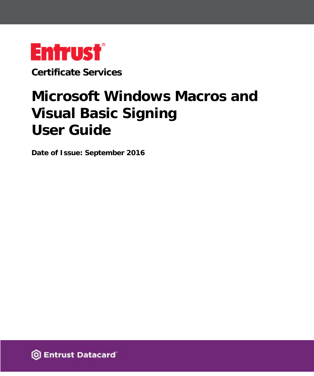

**Certificate Services**

# **Microsoft Windows Macros and Visual Basic Signing User Guide**

**Date of Issue: September 2016**

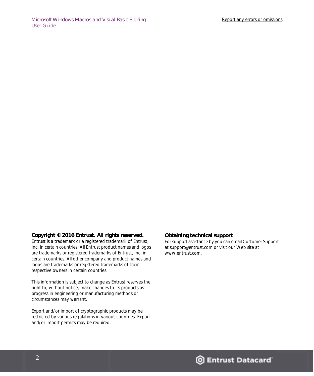#### **Copyright © 2016 Entrust. All rights reserved.**

Entrust is a trademark or a registered trademark of Entrust, Inc. in certain countries. All Entrust product names and logos are trademarks or registered trademarks of Entrust, Inc. in certain countries. All other company and product names and logos are trademarks or registered trademarks of their respective owners in certain countries.

This information is subject to change as Entrust reserves the right to, without notice, make changes to its products as progress in engineering or manufacturing methods or circumstances may warrant.

Export and/or import of cryptographic products may be restricted by various regulations in various countries. Export and/or import permits may be required.

#### **Obtaining technical support**

[For support assistance by you can email Customer Support](mailto:support@entrust.com)  at support@entrust.com or visit our Web site at www.entrust.com.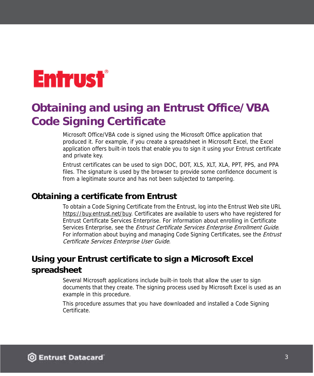# **Entrust**®

## **Obtaining and using an Entrust Office/VBA Code Signing Certificate**

Microsoft Office/VBA code is signed using the Microsoft Office application that produced it. For example, if you create a spreadsheet in Microsoft Excel, the Excel application offers built-in tools that enable you to sign it using your Entrust certificate and private key.

Entrust certificates can be used to sign DOC, DOT, XLS, XLT, XLA, PPT, PPS, and PPA files. The signature is used by the browser to provide some confidence document is from a legitimate source and has not been subjected to tampering.

## **Obtaining a certificate from Entrust**

[To obtain a Code Signing Certificate from the Entrust, log into the Entrust Web site URL](https://buy.entrust.net/buy/index.cfm)  https://buy.entrust.net/buy. Certificates are available to users who have registered for Entrust Certificate Services Enterprise. For information about enrolling in Certificate Services Enterprise, see the *Entrust Certificate Services Enterprise Enrollment Guide*. For information about buying and managing Code Signing Certificates, see the *Entrust* Certificate Services Enterprise User Guide.

## **Using your Entrust certificate to sign a Microsoft Excel spreadsheet**

Several Microsoft applications include built-in tools that allow the user to sign documents that they create. The signing process used by Microsoft Excel is used as an example in this procedure.

This procedure assumes that you have downloaded and installed a Code Signing Certificate.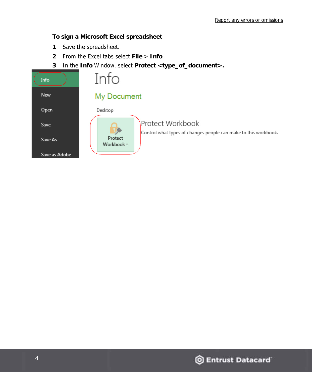### **To sign a Microsoft Excel spreadsheet**

- **1** Save the spreadsheet.
- **2** From the Excel tabs select **File** > **Info**.
- **3** In the **Info** Window, select **Protect <type\_of\_document>.**

| Info          | Info                                                                                |  |  |
|---------------|-------------------------------------------------------------------------------------|--|--|
| New           | My Document                                                                         |  |  |
| Open          | Desktop                                                                             |  |  |
| Save          | Protect Workbook<br>Control what types of changes people can make to this workbook. |  |  |
| Save As       | Protect<br>Workbook *                                                               |  |  |
| Save as Adobe |                                                                                     |  |  |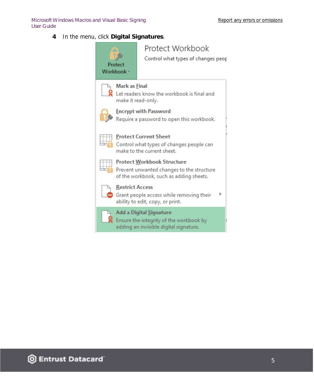Microsoft Windows Macros and Visual Basic Signing User Guide

**4** In the menu, click **Digital Signatures**.

| Protect<br>Workbook -                                                                                  | Protect Workbook<br>Control what types of changes peop                                                                    |  |
|--------------------------------------------------------------------------------------------------------|---------------------------------------------------------------------------------------------------------------------------|--|
| <b>Mark as Final</b><br>Let readers know the workbook is final and<br>make it read-only.               |                                                                                                                           |  |
| <b>Encrypt with Password</b><br>Require a password to open this workbook.                              |                                                                                                                           |  |
| <b>Protect Current Sheet</b><br>Control what types of changes people can<br>make to the current sheet. |                                                                                                                           |  |
|                                                                                                        | <b>Protect Workbook Structure</b><br>Prevent unwanted changes to the structure<br>of the workbook, such as adding sheets. |  |
| <b>Restrict Access</b>                                                                                 | Grant people access while removing their<br>ability to edit, copy, or print.                                              |  |
|                                                                                                        | Add a Digital Signature<br>Ensure the integrity of the workbook by<br>adding an invisible digital signature.              |  |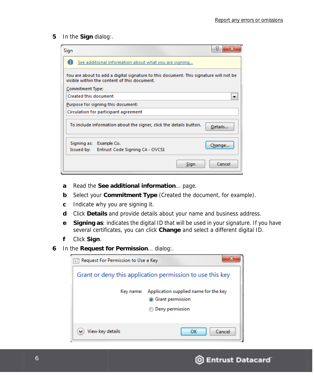**5** In the **Sign** dialog:.

| Sign                                                                                                                                  | P      | x      |  |  |  |
|---------------------------------------------------------------------------------------------------------------------------------------|--------|--------|--|--|--|
| See additional information about what you are signing                                                                                 |        |        |  |  |  |
| You are about to add a digital signature to this document. This signature will not be<br>visible within the content of this document. |        |        |  |  |  |
| Commitment Type:                                                                                                                      |        |        |  |  |  |
| <b>Created this document</b>                                                                                                          |        |        |  |  |  |
| Purpose for signing this document:                                                                                                    |        |        |  |  |  |
| Circulation for participant agreement                                                                                                 |        |        |  |  |  |
| To include information about the signer, click the details button.<br>Details                                                         |        |        |  |  |  |
| Example Co.<br>Signing as:                                                                                                            | Change |        |  |  |  |
| Issued by:<br>Entrust Code Signing CA - OVCS1                                                                                         |        |        |  |  |  |
| Sign                                                                                                                                  |        | Cancel |  |  |  |

- **a** Read the **See additional information**... page.
- **b** Select your **Commitment Type** (Created the document, for example).
- **c** Indicate why you are signing it.
- **d** Click **Details** and provide details about your name and business address.
- **e Signing as**: indicates the digital ID that will be used in your signature. If you have several certificates, you can click **Change** and select a different digital ID.
- **f** Click **Sign**.
- **6** In the **Request for Permission**... dialog:.

| Request For Permission to Use a Key                       |                                                                                       |  |  |  |
|-----------------------------------------------------------|---------------------------------------------------------------------------------------|--|--|--|
| Grant or deny this application permission to use this key |                                                                                       |  |  |  |
| Key name:                                                 | Application supplied name for the key<br><b>6</b> Grant permission<br>Deny permission |  |  |  |
| View key details                                          | Cancel<br>ок                                                                          |  |  |  |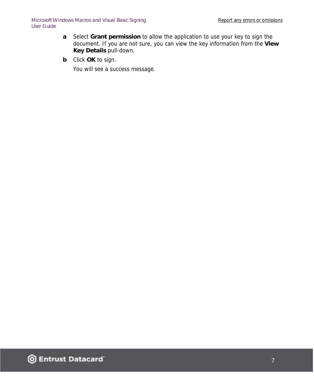- **a** Select **Grant permission** to allow the application to use your key to sign the document. If you are not sure, you can view the key information from the **View Key Details** pull-down.
- **b** Click **OK** to sign.

You will see a success message.